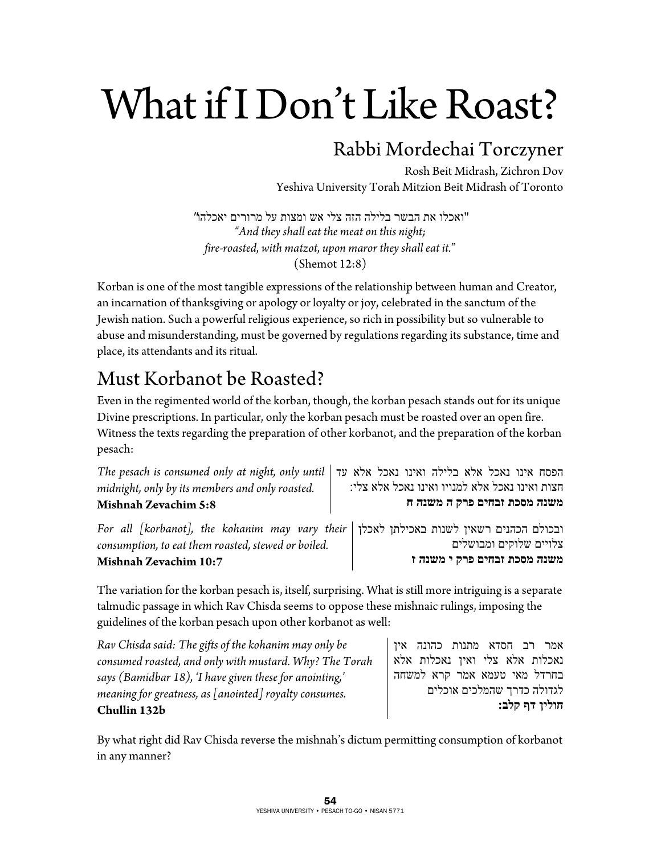# What if I Don't Like Roast?

### Rabbi Mordechai Torczyner

Rosh Beit Midrash, Zichron Dov Yeshiva University Torah Mitzion Beit Midrash of Toronto

"ואכלו את הבשר בלילה הזה צלי אש ומצות על מרורים יאכלהו " *"And they shall eat the meat on this night; fire-roasted, with matzot, upon maror they shall eat it.*" (Shemot 12:8)

Korban is one of the most tangible expressions of the relationship between human and Creator, an incarnation of thanksgiving or apology or loyalty or joy, celebrated in the sanctum of the Jewish nation. Such a powerful religious experience, so rich in possibility but so vulnerable to abuse and misunderstanding, must be governed by regulations regarding its substance, time and place, its attendants and its ritual.

# Must Korbanot be Roasted?

Even in the regimented world of the korban, though, the korban pesach stands out for its unique Divine prescriptions. In particular, only the korban pesach must be roasted over an open fire. Witness the texts regarding the preparation of other korbanot, and the preparation of the korban pesach:

| The pesach is consumed only at night, only until $\vert$<br>midnight, only by its members and only roasted.<br><b>Mishnah Zevachim 5:8</b>      | הפסח אינו נאכל אלא בלילה ואינו נאכל אלא עד<br>חצות ואינו נאכל אלא למנויו ואינו נאכל אלא צלי:<br>משנה מסכת זבחים פרק ה משנה ח |
|-------------------------------------------------------------------------------------------------------------------------------------------------|------------------------------------------------------------------------------------------------------------------------------|
| For all [korbanot], the kohanim may vary their   ובכולם הכהנים רשאין לשנות באכילתן לאכלן<br>consumption, to eat them roasted, stewed or boiled. | צלויים שלוקים ומבושלים                                                                                                       |
| Mishnah Zevachim 10:7                                                                                                                           | משנה מסכת זבחים פרק י משנה ז                                                                                                 |

The variation for the korban pesach is, itself, surprising. What is still more intriguing is a separate talmudic passage in which Rav Chisda seems to oppose these mishnaic rulings, imposing the guidelines of the korban pesach upon other korbanot as well:

*Rav Chisda said: The gifts of the kohanim may only be consumed roasted, and only with mustard. Why? The Torah says (Bamidbar 18), 'I have given these for anointing,' meaning for greatness, as [anointed] royalty consumes.*  **Chullin 132b** 

אמר רב חסדא מתנות כהונה אין נאכלות אלא צלי ואין נאכלות אלא בחרדל מאי טעמא אמר קרא למשחה לגדולה כדרך שהמלכים אוכלים **חולין דף קלב:**

By what right did Rav Chisda reverse the mishnah's dictum permitting consumption of korbanot in any manner?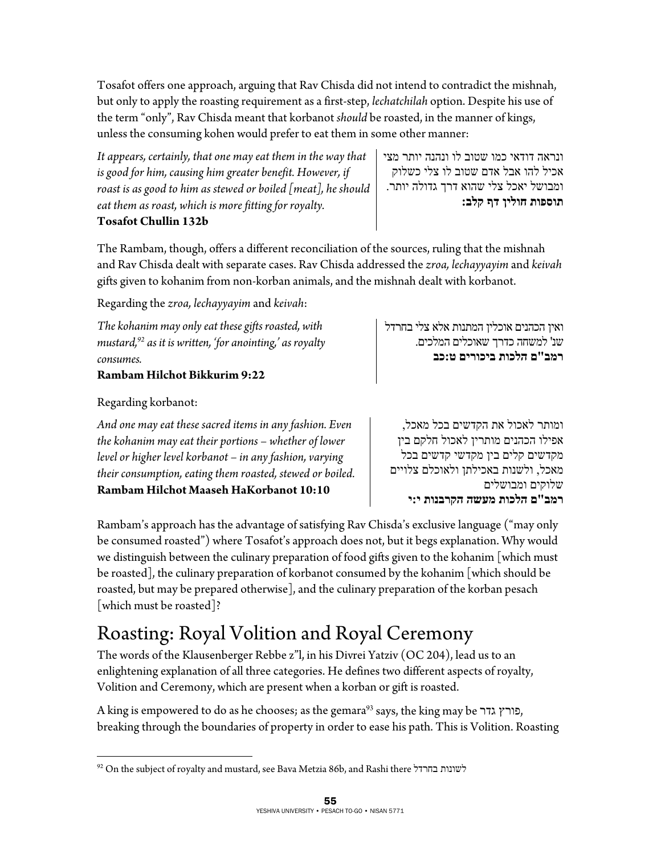Tosafot offers one approach, arguing that Rav Chisda did not intend to contradict the mishnah, but only to apply the roasting requirement as a first-step, *lechatchilah* option. Despite his use of the term "only", Rav Chisda meant that korbanot *should* be roasted, in the manner of kings, unless the consuming kohen would prefer to eat them in some other manner:

*It appears, certainly, that one may eat them in the way that is good for him, causing him greater benefit. However, if roast is as good to him as stewed or boiled [meat], he should eat them as roast, which is more fitting for royalty.* 

#### **Tosafot Chullin 132b**

ונראה דודאי כמו שטוב לו ונהנה יותר מצי אכיל להו אבל אדם שטוב לו צלי כשלוק ומבושל יאכל צלי שהוא דרך גדולה יותר. **תוספות חולין דף קלב:**

The Rambam, though, offers a different reconciliation of the sources, ruling that the mishnah and Rav Chisda dealt with separate cases. Rav Chisda addressed the *zroa, lechayyayim* and *keivah* gifts given to kohanim from non-korban animals, and the mishnah dealt with korbanot.

Regarding the *zroa, lechayyayim* and *keivah*:

*The kohanim may only eat these gifts roasted, with mustard,92 as it is written, 'for anointing,' as royalty consumes.* 

#### **Rambam Hilchot Bikkurim 9:22**

#### Regarding korbanot:

 $\overline{a}$ 

*And one may eat these sacred items in any fashion. Even the kohanim may eat their portions – whether of lower level or higher level korbanot – in any fashion, varying their consumption, eating them roasted, stewed or boiled.*  **Rambam Hilchot Maaseh HaKorbanot 10:10** 

ואין הכהנים אוכלין המתנות אלא צלי בחרדל שנ' למשחה כדרך שאוכלים המלכים. **רמב"ם הלכות ביכורים ט :כב**

ומותר לאכול את הקדשים בכל מאכל, אפילו הכהנים מותרין לאכול חלקם בין מקדשים קלים בין מקדשי קדשים בכל מאכל, ולשנות באכילתן ולאוכלם צלויים שלוקים ומבושלים **רמב"ם הלכות מעשה הקרבנות י :י**

Rambam's approach has the advantage of satisfying Rav Chisda's exclusive language ("may only be consumed roasted") where Tosafot's approach does not, but it begs explanation. Why would we distinguish between the culinary preparation of food gifts given to the kohanim [which must be roasted], the culinary preparation of korbanot consumed by the kohanim [which should be roasted, but may be prepared otherwise], and the culinary preparation of the korban pesach [which must be roasted]?

# Roasting: Royal Volition and Royal Ceremony

The words of the Klausenberger Rebbe z"l, in his Divrei Yatziv (OC 204), lead us to an enlightening explanation of all three categories. He defines two different aspects of royalty, Volition and Ceremony, which are present when a korban or gift is roasted.

A king is empowered to do as he chooses; as the gemara<sup>93</sup> says, the king may be פורץ, breaking through the boundaries of property in order to ease his path. This is Volition. Roasting

<sup>92</sup> On the subject of royalty and mustard, see Bava Metzia 86b, and Rashi there בחרדל לשונות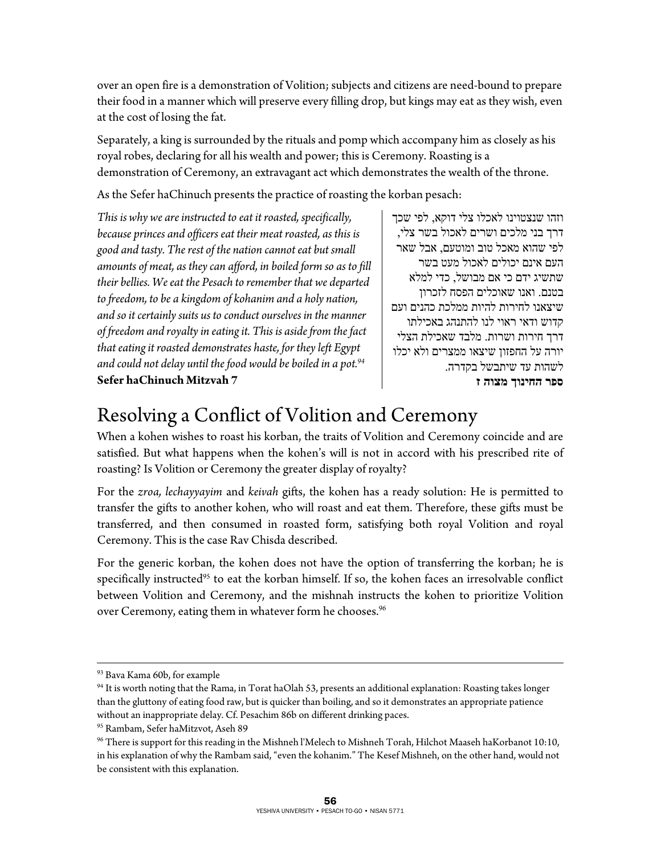over an open fire is a demonstration of Volition; subjects and citizens are need-bound to prepare their food in a manner which will preserve every filling drop, but kings may eat as they wish, even at the cost of losing the fat.

Separately, a king is surrounded by the rituals and pomp which accompany him as closely as his royal robes, declaring for all his wealth and power; this is Ceremony. Roasting is a demonstration of Ceremony, an extravagant act which demonstrates the wealth of the throne.

As the Sefer haChinuch presents the practice of roasting the korban pesach:

*This is why we are instructed to eat it roasted, specifically, because princes and officers eat their meat roasted, as this is good and tasty. The rest of the nation cannot eat but small amounts of meat, as they can afford, in boiled form so as to fill their bellies. We eat the Pesach to remember that we departed to freedom, to be a kingdom of kohanim and a holy nation, and so it certainly suits us to conduct ourselves in the manner of freedom and royalty in eating it. This is aside from the fact that eating it roasted demonstrates haste, for they left Egypt and could not delay until the food would be boiled in a pot.94* **Sefer haChinuch Mitzvah 7** 

וזהו שנצטוינו לאכלו צלי דוקא, לפי שכך דרך בני מלכים ושרים לאכול בשר צלי, לפי שהוא מאכל טוב ומוטעם, אבל שאר העם אינם יכולים לאכול מעט בשר שתשיג ידם כי אם מבושל, כדי למלא בטנם. ואנו שאוכלים הפסח לזכרון שיצאנו לחירות להיות ממלכת כהנים ועם קדוש ודאי ראוי לנו להתנהג באכילתו דרך חירות ושרות. מלבד שאכילת הצלי יורה על החפזון שיצאו ממצרים ולא יכלו לשהות עד שיתבשל בקדרה. **ספר החינוך מצוה ז**

## Resolving a Conflict of Volition and Ceremony

When a kohen wishes to roast his korban, the traits of Volition and Ceremony coincide and are satisfied. But what happens when the kohen's will is not in accord with his prescribed rite of roasting? Is Volition or Ceremony the greater display of royalty?

For the *zroa, lechayyayim* and *keivah* gifts, the kohen has a ready solution: He is permitted to transfer the gifts to another kohen, who will roast and eat them. Therefore, these gifts must be transferred, and then consumed in roasted form, satisfying both royal Volition and royal Ceremony. This is the case Rav Chisda described.

For the generic korban, the kohen does not have the option of transferring the korban; he is specifically instructed<sup>95</sup> to eat the korban himself. If so, the kohen faces an irresolvable conflict between Volition and Ceremony, and the mishnah instructs the kohen to prioritize Volition over Ceremony, eating them in whatever form he chooses.<sup>96</sup>

 $\overline{a}$ 

<sup>93</sup> Bava Kama 60b, for example

<sup>94</sup> It is worth noting that the Rama, in Torat haOlah 53, presents an additional explanation: Roasting takes longer than the gluttony of eating food raw, but is quicker than boiling, and so it demonstrates an appropriate patience without an inappropriate delay. Cf. Pesachim 86b on different drinking paces.

<sup>95</sup> Rambam, Sefer haMitzvot, Aseh 89

<sup>96</sup> There is support for this reading in the Mishneh l'Melech to Mishneh Torah, Hilchot Maaseh haKorbanot 10:10, in his explanation of why the Rambam said, "even the kohanim." The Kesef Mishneh, on the other hand, would not be consistent with this explanation.